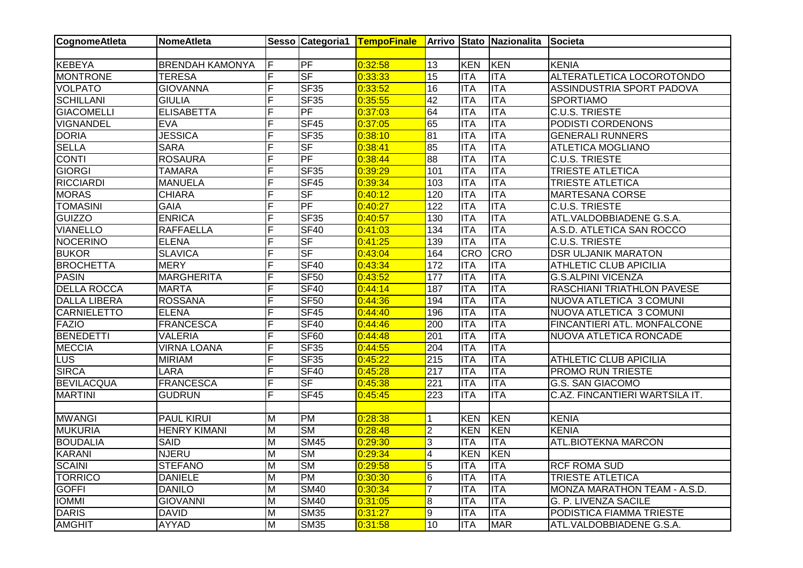| CognomeAtleta       | <b>NomeAtleta</b>      |                         |                        | Sesso Categoria1 TempoFinale Arrivo Stato Nazionalita Societa |                  |            |                  |                                |
|---------------------|------------------------|-------------------------|------------------------|---------------------------------------------------------------|------------------|------------|------------------|--------------------------------|
|                     |                        |                         |                        |                                                               |                  |            |                  |                                |
| <b>KEBEYA</b>       | <b>BRENDAH KAMONYA</b> | F                       | PF                     | 0:32:58                                                       | $\overline{13}$  | <b>KEN</b> | KEN              | <b>KENIA</b>                   |
| <b>MONTRONE</b>     | <b>TERESA</b>          | F                       | SF                     | 0:33:33                                                       | 15               | <b>ITA</b> | <b>ITA</b>       | ALTERATLETICA LOCOROTONDO      |
| <b>VOLPATO</b>      | <b>GIOVANNA</b>        | F                       | SF35                   | 0:33:52                                                       | 16               | <b>ITA</b> | <b>ITA</b>       | ASSINDUSTRIA SPORT PADOVA      |
| <b>SCHILLANI</b>    | <b>GIULIA</b>          | F                       | <b>SF35</b>            | 0:35:55                                                       | 42               | <b>ITA</b> | <b>ITA</b>       | <b>SPORTIAMO</b>               |
| <b>GIACOMELLI</b>   | <b>ELISABETTA</b>      | F                       | PF                     | 0:37:03                                                       | 64               | <b>ITA</b> | <b>ITA</b>       | <b>C.U.S. TRIESTE</b>          |
| VIGNANDEL           | EVA                    | F                       | <b>SF45</b>            | 0:37:05                                                       | 65               | <b>ITA</b> | <b>ITA</b>       | PODISTI CORDENONS              |
| <b>DORIA</b>        | <b>JESSICA</b>         | F                       | <b>SF35</b>            | 0:38:10                                                       | 81               | <b>ITA</b> | <b>ITA</b>       | <b>GENERALI RUNNERS</b>        |
| <b>SELLA</b>        | <b>SARA</b>            | F                       | <b>SF</b>              | 0:38:41                                                       | 85               | <b>ITA</b> | <b>ITA</b>       | <b>ATLETICA MOGLIANO</b>       |
| <b>CONTI</b>        | <b>ROSAURA</b>         | F                       | PF                     | 0:38:44                                                       | 88               | <b>ITA</b> | <b>ITA</b>       | <b>C.U.S. TRIESTE</b>          |
| <b>GIORGI</b>       | <b>TAMARA</b>          | F                       | <b>SF35</b>            | 0:39:29                                                       | 101              | <b>ITA</b> | ITA              | <b>TRIESTE ATLETICA</b>        |
| <b>RICCIARDI</b>    | <b>MANUELA</b>         | F                       | SF45                   | 0:39:34                                                       | 103              | <b>ITA</b> | <b>ITA</b>       | TRIESTE ATLETICA               |
| <b>MORAS</b>        | <b>CHIARA</b>          | F                       | $S$ F                  | 0:40:12                                                       | 120              | <b>ITA</b> | <b>ITA</b>       | MARTESANA CORSE                |
| <b>TOMASINI</b>     | <b>GAIA</b>            | Ė                       | PF                     | 0:40:27                                                       | $\overline{122}$ | <b>ITA</b> | <b>ITA</b>       | <b>C.U.S. TRIESTE</b>          |
| <b>GUIZZO</b>       | <b>ENRICA</b>          | F                       | <b>SF35</b>            | 0:40:57                                                       | 130              | <b>ITA</b> | <b>ITA</b>       | ATL.VALDOBBIADENE G.S.A.       |
| <b>VIANELLO</b>     | <b>RAFFAELLA</b>       | F                       | <b>SF40</b>            | 0:41:03                                                       | 134              | <b>ITA</b> | <b>ITA</b>       | A.S.D. ATLETICA SAN ROCCO      |
| NOCERINO            | <b>ELENA</b>           | F                       | <b>SF</b>              | 0:41:25                                                       | 139              | <b>ITA</b> | <b>ITA</b>       | <b>C.U.S. TRIESTE</b>          |
| <b>BUKOR</b>        | <b>SLAVICA</b>         | F                       | <b>SF</b>              | 0:43:04                                                       | 164              | <b>CRO</b> | <b>CRO</b>       | <b>DSR ULJANIK MARATON</b>     |
| <b>BROCHETTA</b>    | <b>MERY</b>            | F                       | <b>SF40</b>            | 0:43:34                                                       | 172              | <b>ITA</b> | <b>ITA</b>       | <b>ATHLETIC CLUB APICILIA</b>  |
| <b>PASIN</b>        | <b>MARGHERITA</b>      | F                       | <b>SF50</b>            | 0:43:52                                                       | 177              | <b>ITA</b> | <b>ITA</b>       | <b>G.S.ALPINI VICENZA</b>      |
| <b>DELLA ROCCA</b>  | <b>MARTA</b>           | F                       | <b>SF40</b>            | 0:44:14                                                       | 187              | <b>ITA</b> | <b>ITA</b>       | RASCHIANI TRIATHLON PAVESE     |
| <b>DALLA LIBERA</b> | <b>ROSSANA</b>         | F                       | <b>SF50</b>            | 0:44:36                                                       | 194              | <b>ITA</b> | <b>ITA</b>       | NUOVA ATLETICA 3 COMUNI        |
| <b>CARNIELETTO</b>  | <b>ELENA</b>           | F                       | SF45                   | 0:44:40                                                       | 196              | <b>ITA</b> | $\overline{ITA}$ | NUOVA ATLETICA 3 COMUNI        |
| <b>FAZIO</b>        | <b>FRANCESCA</b>       | F                       | <b>SF40</b>            | 0:44:46                                                       | 200              | <b>ITA</b> | <b>ITA</b>       | FINCANTIERI ATL. MONFALCONE    |
| <b>BENEDETTI</b>    | <b>VALERIA</b>         | F                       | SF <sub>60</sub>       | 0:44:48                                                       | 201              | <b>ITA</b> | <b>ITA</b>       | NUOVA ATLETICA RONCADE         |
| <b>MECCIA</b>       | <b>VIRNA LOANA</b>     | F                       | <b>SF35</b>            | 0:44:55                                                       | 204              | <b>ITA</b> | <b>ITA</b>       |                                |
| LUS                 | <b>MIRIAM</b>          | F                       | <b>SF35</b>            | 0:45:22                                                       | 215              | <b>ITA</b> | <b>ITA</b>       | <b>ATHLETIC CLUB APICILIA</b>  |
| <b>SIRCA</b>        | <b>LARA</b>            | F                       | <b>SF40</b>            | 0:45:28                                                       | 217              | <b>ITA</b> | <b>ITA</b>       | <b>PROMO RUN TRIESTE</b>       |
| <b>BEVILACQUA</b>   | <b>FRANCESCA</b>       | F                       | <b>SF</b>              | 0:45:38                                                       | 221              | <b>ITA</b> | <b>ITA</b>       | <b>G.S. SAN GIACOMO</b>        |
| <b>MARTINI</b>      | <b>GUDRUN</b>          | F                       | SF45                   | 0:45:45                                                       | $\overline{223}$ | <b>ITA</b> | ITA              | C.AZ. FINCANTIERI WARTSILA IT. |
|                     |                        |                         |                        |                                                               |                  |            |                  |                                |
| <b>MWANGI</b>       | <b>PAUL KIRUI</b>      | M                       | <b>PM</b>              | 0:28:38                                                       | $\overline{1}$   | <b>KEN</b> | <b>KEN</b>       | <b>KENIA</b>                   |
| <b>MUKURIA</b>      | <b>HENRY KIMANI</b>    | M                       | $\overline{\text{SM}}$ | 0:28:48                                                       | $\overline{2}$   | <b>KEN</b> | KEN              | <b>KENIA</b>                   |
| <b>BOUDALIA</b>     | <b>SAID</b>            | M                       | <b>SM45</b>            | 0:29:30                                                       | $\overline{3}$   | <b>ITA</b> | <b>ITA</b>       | <b>ATL.BIOTEKNA MARCON</b>     |
| <b>KARANI</b>       | <b>NJERU</b>           | M                       | <b>SM</b>              | 0:29:34                                                       | $\overline{4}$   | <b>KEN</b> | <b>KEN</b>       |                                |
| <b>SCAINI</b>       | <b>STEFANO</b>         | $\overline{\mathsf{M}}$ | <b>SM</b>              | 0:29:58                                                       | $\overline{5}$   | <b>ITA</b> | <b>ITA</b>       | <b>RCF ROMA SUD</b>            |
| <b>TORRICO</b>      | <b>DANIELE</b>         | M                       | <b>PM</b>              | 0:30:30                                                       | 6                | <b>ITA</b> | <b>ITA</b>       | <b>TRIESTE ATLETICA</b>        |
| <b>GOFFI</b>        | <b>DANILO</b>          | $\overline{M}$          | <b>SM40</b>            | 0:30:34                                                       | $\overline{7}$   | <b>ITA</b> | <b>ITA</b>       | MONZA MARATHON TEAM - A.S.D.   |
| <b>IOMMI</b>        | <b>GIOVANNI</b>        | $\overline{M}$          | <b>SM40</b>            | 0:31:05                                                       | $\infty$         | <b>ITA</b> | <b>ITA</b>       | <b>G. P. LIVENZA SACILE</b>    |
| <b>DARIS</b>        | <b>DAVID</b>           | $\overline{M}$          | <b>SM35</b>            | 0:31:27                                                       | $\overline{9}$   | <b>ITA</b> | <b>ITA</b>       | PODISTICA FIAMMA TRIESTE       |
| <b>AMGHIT</b>       | AYYAD                  | M                       | <b>SM35</b>            | 0:31:58                                                       | 10               | <b>ITA</b> | <b>MAR</b>       | ATL.VALDOBBIADENE G.S.A.       |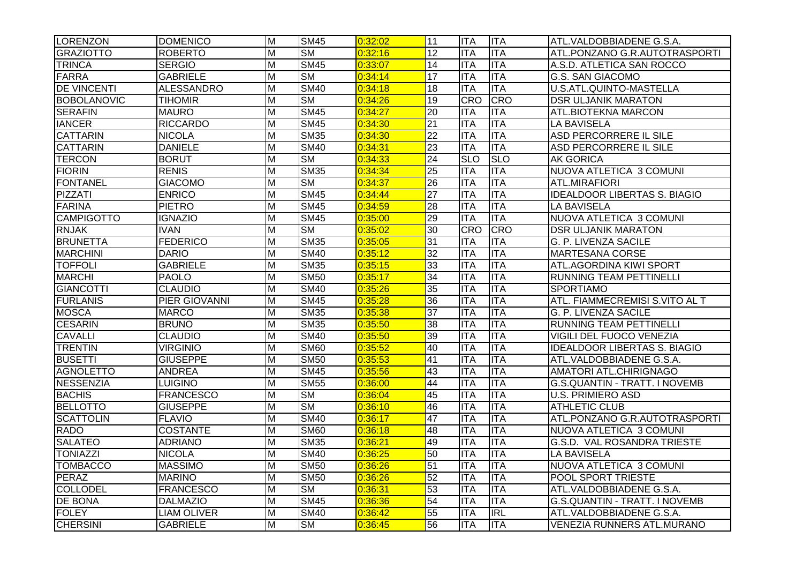| <b>LORENZON</b>    | <b>DOMENICO</b>      | $\overline{\mathsf{M}}$ | <b>SM45</b>              | 0:32:02 | 11              | <b>IITA</b> | <b>ITA</b> | ATL.VALDOBBIADENE G.S.A.             |
|--------------------|----------------------|-------------------------|--------------------------|---------|-----------------|-------------|------------|--------------------------------------|
| <b>GRAZIOTTO</b>   | <b>ROBERTO</b>       | M                       | $\overline{\text{SM}}$   | 0:32:16 | 12              | <b>ITA</b>  | <b>ITA</b> | ATL.PONZANO G.R.AUTOTRASPORTI        |
| <b>TRINCA</b>      | <b>SERGIO</b>        | M                       | <b>SM45</b>              | 0:33:07 | 14              | <b>ITA</b>  | <b>ITA</b> | A.S.D. ATLETICA SAN ROCCO            |
| <b>FARRA</b>       | <b>GABRIELE</b>      | $\overline{\mathsf{M}}$ | $\overline{\text{SM}}$   | 0:34:14 | 17              | <b>ITA</b>  | <b>ITA</b> | <b>G.S. SAN GIACOMO</b>              |
| <b>DE VINCENTI</b> | <b>ALESSANDRO</b>    | $\overline{\mathsf{M}}$ | <b>SM40</b>              | 0:34:18 | 18              | <b>ITA</b>  | <b>ITA</b> | U.S.ATL.QUINTO-MASTELLA              |
| <b>BOBOLANOVIC</b> | <b>TIHOMIR</b>       | $\overline{\mathsf{M}}$ | <b>SM</b>                | 0:34:26 | 19              | <b>CRO</b>  | <b>CRO</b> | <b>DSR ULJANIK MARATON</b>           |
| <b>SERAFIN</b>     | <b>MAURO</b>         | $\overline{\mathsf{M}}$ | <b>SM45</b>              | 0:34:27 | 20              | <b>ITA</b>  | <b>ITA</b> | <b>ATL.BIOTEKNA MARCON</b>           |
| <b>IANCER</b>      | <b>RICCARDO</b>      | M                       | <b>SM45</b>              | 0:34:30 | 21              | <b>ITA</b>  | <b>ITA</b> | <b>LA BAVISELA</b>                   |
| <b>CATTARIN</b>    | <b>NICOLA</b>        | M                       | <b>SM35</b>              | 0:34:30 | $\overline{22}$ | <b>ITA</b>  | <b>ITA</b> | ASD PERCORRERE IL SILE               |
| <b>CATTARIN</b>    | <b>DANIELE</b>       | M                       | <b>SM40</b>              | 0:34:31 | 23              | <b>ITA</b>  | <b>ITA</b> | <b>ASD PERCORRERE IL SILE</b>        |
| <b>TERCON</b>      | <b>BORUT</b>         | M                       | <b>SM</b>                | 0:34:33 | 24              | <b>SLO</b>  | <b>SLO</b> | <b>AK GORICA</b>                     |
| <b>FIORIN</b>      | <b>RENIS</b>         | M                       | <b>SM35</b>              | 0:34:34 | $\overline{25}$ | <b>ITA</b>  | <b>ITA</b> | NUOVA ATLETICA 3 COMUNI              |
| <b>FONTANEL</b>    | <b>GIACOMO</b>       | M                       | $\overline{\text{SM}}$   | 0:34:37 | 26              | <b>ITA</b>  | <b>ITA</b> | ATL.MIRAFIORI                        |
| <b>PIZZATI</b>     | <b>ENRICO</b>        | M                       | <b>SM45</b>              | 0:34:44 | $\overline{27}$ | <b>ITA</b>  | <b>ITA</b> | <b>IDEALDOOR LIBERTAS S. BIAGIO</b>  |
| <b>FARINA</b>      | <b>PIETRO</b>        | $\overline{M}$          | <b>SM45</b>              | 0:34:59 | $\overline{28}$ | <b>ITA</b>  | <b>ITA</b> | <b>LA BAVISELA</b>                   |
| <b>CAMPIGOTTO</b>  | <b>IGNAZIO</b>       | M                       | $\overline{\text{SM45}}$ | 0:35:00 | 29              | <b>ITA</b>  | <b>ITA</b> | NUOVA ATLETICA 3 COMUNI              |
| <b>RNJAK</b>       | <b>IVAN</b>          | M                       | $\overline{\text{SM}}$   | 0:35:02 | 30              | <b>CRO</b>  | <b>CRO</b> | <b>DSR ULJANIK MARATON</b>           |
| <b>BRUNETTA</b>    | <b>FEDERICO</b>      | $\overline{\mathsf{M}}$ | $\overline{\text{SM35}}$ | 0:35:05 | 31              | <b>ITA</b>  | <b>ITA</b> | G. P. LIVENZA SACILE                 |
| <b>MARCHINI</b>    | <b>DARIO</b>         | M                       | <b>SM40</b>              | 0:35:12 | 32              | <b>ITA</b>  | <b>ITA</b> | <b>MARTESANA CORSE</b>               |
| <b>TOFFOLI</b>     | <b>GABRIELE</b>      | M                       | <b>SM35</b>              | 0:35:15 | 33              | <b>ITA</b>  | <b>ITA</b> | ATL.AGORDINA KIWI SPORT              |
| <b>MARCHI</b>      | <b>PAOLO</b>         | M                       | <b>SM50</b>              | 0:35:17 | $\overline{34}$ | <b>ITA</b>  | <b>ITA</b> | RUNNING TEAM PETTINELLI              |
| <b>GIANCOTTI</b>   | <b>CLAUDIO</b>       | M                       | <b>SM40</b>              | 0:35:26 | $\overline{35}$ | <b>ITA</b>  | <b>ITA</b> | <b>SPORTIAMO</b>                     |
| <b>FURLANIS</b>    | <b>PIER GIOVANNI</b> | $\overline{\mathsf{M}}$ | <b>SM45</b>              | 0:35:28 | $\overline{36}$ | <b>ITA</b>  | <b>ITA</b> | ATL. FIAMMECREMISI S.VITO AL T       |
| <b>MOSCA</b>       | <b>MARCO</b>         | $\overline{\mathsf{M}}$ | <b>SM35</b>              | 0:35:38 | $\overline{37}$ | <b>ITA</b>  | <b>ITA</b> | <b>G. P. LIVENZA SACILE</b>          |
| <b>CESARIN</b>     | <b>BRUNO</b>         | M                       | <b>SM35</b>              | 0:35:50 | $\overline{38}$ | <b>ITA</b>  | <b>ITA</b> | RUNNING TEAM PETTINELLI              |
| <b>CAVALLI</b>     | <b>CLAUDIO</b>       | M                       | <b>SM40</b>              | 0:35:50 | 39              | ITA         | <b>ITA</b> | VIGILI DEL FUOCO VENEZIA             |
| <b>TRENTIN</b>     | <b>VIRGINIO</b>      | M                       | <b>SM60</b>              | 0:35:52 | 40              | <b>ITA</b>  | <b>ITA</b> | <b>IDEALDOOR LIBERTAS S. BIAGIO</b>  |
| <b>BUSETTI</b>     | <b>GIUSEPPE</b>      | M                       | $\overline{\text{SM5}}0$ | 0:35:53 | 41              | <b>ITA</b>  | <b>ITA</b> | ATL.VALDOBBIADENE G.S.A.             |
| <b>AGNOLETTO</b>   | <b>ANDREA</b>        | M                       | <b>SM45</b>              | 0:35:56 | 43              | <b>ITA</b>  | <b>ITA</b> | AMATORI ATL.CHIRIGNAGO               |
| <b>NESSENZIA</b>   | <b>LUIGINO</b>       | M                       | <b>SM55</b>              | 0:36:00 | 44              | <b>ITA</b>  | <b>ITA</b> | <b>G.S.QUANTIN - TRATT. I NOVEMB</b> |
| <b>BACHIS</b>      | <b>FRANCESCO</b>     | M                       | $\overline{\text{SM}}$   | 0:36:04 | 45              | <b>ITA</b>  | <b>ITA</b> | <b>U.S. PRIMIERO ASD</b>             |
| <b>BELLOTTO</b>    | <b>GIUSEPPE</b>      | M                       | $\overline{\text{SM}}$   | 0:36:10 | 46              | <b>ITA</b>  | <b>ITA</b> | <b>ATHLETIC CLUB</b>                 |
| <b>SCATTOLIN</b>   | <b>FLAVIO</b>        | M                       | <b>SM40</b>              | 0:36:17 | 47              | <b>ITA</b>  | <b>ITA</b> | ATL.PONZANO G.R.AUTOTRASPORTI        |
| <b>RADO</b>        | <b>COSTANTE</b>      | $\overline{\mathsf{M}}$ | <b>SM60</b>              | 0:36:18 | 48              | <b>ITA</b>  | <b>ITA</b> | NUOVA ATLETICA 3 COMUNI              |
| <b>SALATEO</b>     | <b>ADRIANO</b>       | M                       | <b>SM35</b>              | 0:36:21 | 49              | ITA         | <b>ITA</b> | G.S.D. VAL ROSANDRA TRIESTE          |
| <b>TONIAZZI</b>    | <b>NICOLA</b>        | $\overline{\mathsf{M}}$ | <b>SM40</b>              | 0:36:25 | 50              | <b>ITA</b>  | <b>ITA</b> | <b>LA BAVISELA</b>                   |
| <b>TOMBACCO</b>    | <b>MASSIMO</b>       | $\overline{\mathsf{M}}$ | <b>SM50</b>              | 0:36:26 | 51              | <b>ITA</b>  | <b>ITA</b> | NUOVA ATLETICA 3 COMUNI              |
| <b>PERAZ</b>       | <b>MARINO</b>        | M                       | <b>SM50</b>              | 0:36:26 | 52              | <b>ITA</b>  | <b>ITA</b> | POOL SPORT TRIESTE                   |
| <b>COLLODEL</b>    | <b>FRANCESCO</b>     | M                       | <b>SM</b>                | 0:36:31 | 53              | <b>ITA</b>  | <b>ITA</b> | ATL.VALDOBBIADENE G.S.A.             |
| <b>DE BONA</b>     | <b>DALMAZIO</b>      | M                       | <b>SM45</b>              | 0:36:36 | 54              | <b>ITA</b>  | <b>ITA</b> | G.S.QUANTIN - TRATT. I NOVEMB        |
| <b>FOLEY</b>       | <b>LIAM OLIVER</b>   | M                       | <b>SM40</b>              | 0:36:42 | 55              | <b>ITA</b>  | R          | ATL.VALDOBBIADENE G.S.A.             |
| <b>CHERSINI</b>    | <b>GABRIELE</b>      | $\overline{\mathsf{M}}$ | <b>SM</b>                | 0:36:45 | 56              | <b>ITA</b>  | <b>ITA</b> | <b>VENEZIA RUNNERS ATL.MURANO</b>    |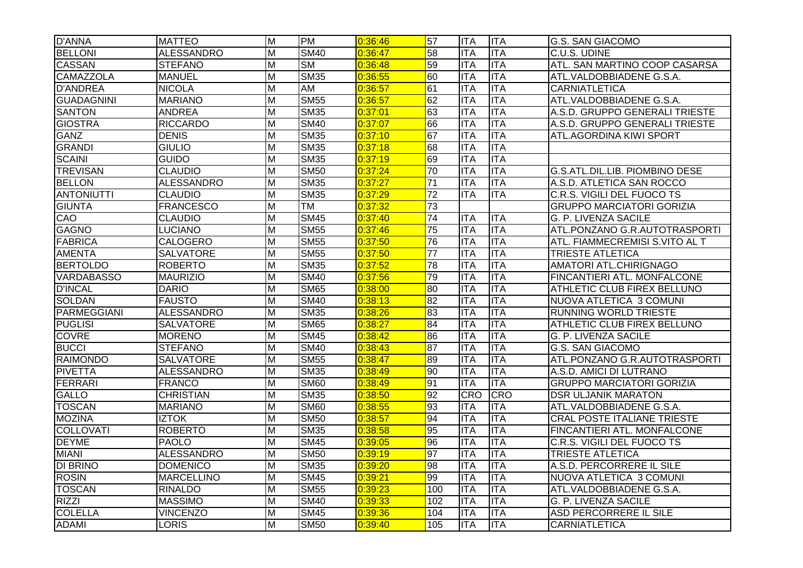| <b>D'ANNA</b>      | <b>MATTEO</b>     | M              | <b>PM</b>                 | 0:36:46 | 57              | <b>ITA</b> | <b>ITA</b>       | G.S. SAN GIACOMO                   |
|--------------------|-------------------|----------------|---------------------------|---------|-----------------|------------|------------------|------------------------------------|
| <b>BELLONI</b>     | <b>ALESSANDRO</b> | M              | <b>SM40</b>               | 0:36:47 | 58              | <b>ITA</b> | <b>ITA</b>       | C.U.S. UDINE                       |
| <b>CASSAN</b>      | <b>STEFANO</b>    | M              | <b>SM</b>                 | 0:36:48 | 59              | <b>ITA</b> | <b>ITA</b>       | ATL. SAN MARTINO COOP CASARSA      |
| <b>CAMAZZOLA</b>   | <b>MANUEL</b>     | M              | <b>SM35</b>               | 0:36:55 | 60              | IITA       | <b>ITA</b>       | ATL.VALDOBBIADENE G.S.A.           |
| <b>D'ANDREA</b>    | <b>NICOLA</b>     | M              | <b>AM</b>                 | 0:36:57 | 61              | <b>ITA</b> | <b>ITA</b>       | <b>CARNIATLETICA</b>               |
| <b>GUADAGNINI</b>  | <b>MARIANO</b>    | M              | <b>SM55</b>               | 0:36:57 | 62              | IITA       | <b>ITA</b>       | ATL.VALDOBBIADENE G.S.A.           |
| <b>SANTON</b>      | <b>ANDREA</b>     | M              | <b>SM35</b>               | 0:37:01 | 63              | <b>ITA</b> | <b>ITA</b>       | A.S.D. GRUPPO GENERALI TRIESTE     |
| <b>GIOSTRA</b>     | <b>RICCARDO</b>   | M              | <b>SM40</b>               | 0:37:07 | 66              | <b>ITA</b> | <b>ITA</b>       | A.S.D. GRUPPO GENERALI TRIESTE     |
| <b>GANZ</b>        | <b>DENIS</b>      | $\overline{M}$ | <b>SM35</b>               | 0:37:10 | 67              | <b>ITA</b> | $\overline{ITA}$ | ATL.AGORDINA KIWI SPORT            |
| <b>GRANDI</b>      | <b>GIULIO</b>     | $\overline{M}$ | <b>SM35</b>               | 0:37:18 | 68              | <b>ITA</b> | $\overline{ITA}$ |                                    |
| <b>SCAINI</b>      | <b>GUIDO</b>      | $\overline{M}$ | <b>SM35</b>               | 0:37:19 | 69              | <b>ITA</b> | <b>ITA</b>       |                                    |
| <b>TREVISAN</b>    | <b>CLAUDIO</b>    | $\overline{M}$ | <b>SM50</b>               | 0:37:24 | $\overline{70}$ | <b>ITA</b> | <b>ITA</b>       | G.S.ATL.DIL.LIB. PIOMBINO DESE     |
| <b>BELLON</b>      | <b>ALESSANDRO</b> | M              | <b>SM35</b>               | 0:37:27 | $\overline{71}$ | <b>ITA</b> | <b>ITA</b>       | A.S.D. ATLETICA SAN ROCCO          |
| <b>ANTONIUTTI</b>  | <b>CLAUDIO</b>    | $\overline{M}$ | <b>SM35</b>               | 0:37:29 | $\overline{72}$ | <b>ITA</b> | $\overline{ITA}$ | C.R.S. VIGILI DEL FUOCO TS         |
| <b>GIUNTA</b>      | <b>FRANCESCO</b>  | $\overline{M}$ | <b>TM</b>                 | 0:37:32 | 73              |            |                  | <b>GRUPPO MARCIATORI GORIZIA</b>   |
| CAO                | <b>CLAUDIO</b>    | $\overline{M}$ | <b>SM45</b>               | 0:37:40 | 74              | IITA       | <b>ITA</b>       | <b>G. P. LIVENZA SACILE</b>        |
| <b>GAGNO</b>       | <b>LUCIANO</b>    | M              | <b>SM55</b>               | 0:37:46 | 75              | <b>ITA</b> | <b>ITA</b>       | ATL.PONZANO G.R.AUTOTRASPORTI      |
| <b>FABRICA</b>     | CALOGERO          | M              | <b>SM55</b>               | 0:37:50 | 76              | <b>ITA</b> | <b>ITA</b>       | ATL. FIAMMECREMISI S.VITO AL T     |
| <b>AMENTA</b>      | <b>SALVATORE</b>  | $\overline{M}$ | <b>SM55</b>               | 0:37:50 | $\overline{77}$ | <b>ITA</b> | <b>ITA</b>       | <b>TRIESTE ATLETICA</b>            |
| <b>BERTOLDO</b>    | <b>ROBERTO</b>    | $\overline{M}$ | <b>SM35</b>               | 0:37:52 | 78              | <b>ITA</b> | <b>ITA</b>       | AMATORI ATL.CHIRIGNAGO             |
| <b>VARDABASSO</b>  | <b>MAURIZIO</b>   | $\overline{M}$ | <b>SM40</b>               | 0:37:56 | 79              | <b>ITA</b> | <b>ITA</b>       | FINCANTIERI ATL. MONFALCONE        |
| <b>D'INCAL</b>     | <b>DARIO</b>      | $\overline{M}$ | <b>SM65</b>               | 0:38:00 | 80              | <b>ITA</b> | <b>ITA</b>       | ATHLETIC CLUB FIREX BELLUNO        |
| <b>SOLDAN</b>      | <b>FAUSTO</b>     | M              | <b>SM40</b>               | 0:38:13 | 82              | <b>ITA</b> | <b>ITA</b>       | NUOVA ATLETICA 3 COMUNI            |
| <b>PARMEGGIANI</b> | <b>ALESSANDRO</b> | $\overline{M}$ | <b>SM35</b>               | 0:38:26 | 83              | <b>ITA</b> | $\overline{ITA}$ | <b>RUNNING WORLD TRIESTE</b>       |
| <b>PUGLISI</b>     | <b>SALVATORE</b>  | $\overline{M}$ | <b>SM65</b>               | 0:38:27 | 84              | <b>ITA</b> | <b>ITA</b>       | ATHLETIC CLUB FIREX BELLUNO        |
| <b>COVRE</b>       | <b>MORENO</b>     | $\overline{M}$ | $\overline{\text{SM}}$ 45 | 0:38:42 | 86              | <b>ITA</b> | ITA              | <b>G. P. LIVENZA SACILE</b>        |
| <b>BUCCI</b>       | <b>STEFANO</b>    | $\overline{M}$ | <b>SM40</b>               | 0:38:43 | 87              | <b>ITA</b> | <b>ITA</b>       | <b>G.S. SAN GIACOMO</b>            |
| <b>RAIMONDO</b>    | <b>SALVATORE</b>  | $\overline{M}$ | <b>SM55</b>               | 0:38:47 | 89              | <b>ITA</b> | <b>ITA</b>       | ATL.PONZANO G.R.AUTOTRASPORTI      |
| <b>PIVETTA</b>     | <b>ALESSANDRO</b> | $\overline{M}$ | <b>SM35</b>               | 0:38:49 | 90              | <b>ITA</b> | <b>ITA</b>       | A.S.D. AMICI DI LUTRANO            |
| FERRARI            | <b>FRANCO</b>     | M              | <b>SM60</b>               | 0:38:49 | 91              | <b>ITA</b> | <b>ITA</b>       | <b>GRUPPO MARCIATORI GORIZIA</b>   |
| <b>GALLO</b>       | <b>CHRISTIAN</b>  | $\overline{M}$ | <b>SM35</b>               | 0:38:50 | 92              | <b>CRO</b> | <b>CRO</b>       | <b>DSR ULJANIK MARATON</b>         |
| <b>TOSCAN</b>      | <b>MARIANO</b>    | M              | <b>SM60</b>               | 0:38:55 | 93              | <b>ITA</b> | <b>ITA</b>       | ATL.VALDOBBIADENE G.S.A.           |
| <b>MOZINA</b>      | <b>IZTOK</b>      | M              | <b>SM50</b>               | 0:38:57 | 94              | <b>ITA</b> | <b>ITA</b>       | <b>CRAL POSTE ITALIANE TRIESTE</b> |
| <b>COLLOVATI</b>   | <b>ROBERTO</b>    | M              | <b>SM35</b>               | 0:38:58 | 95              | <b>ITA</b> | ITA              | FINCANTIERI ATL. MONFALCONE        |
| <b>DEYME</b>       | <b>PAOLO</b>      | M              | <b>SM45</b>               | 0:39:05 | 96              | <b>ITA</b> | <b>ITA</b>       | C.R.S. VIGILI DEL FUOCO TS         |
| <b>MIANI</b>       | <b>ALESSANDRO</b> | M              | <b>SM50</b>               | 0:39:19 | 97              | <b>ITA</b> | <b>ITA</b>       | <b>TRIESTE ATLETICA</b>            |
| <b>DI BRINO</b>    | <b>DOMENICO</b>   | M              | <b>SM35</b>               | 0:39:20 | 98              | <b>ITA</b> | <b>ITA</b>       | A.S.D. PERCORRERE IL SILE          |
| <b>ROSIN</b>       | <b>MARCELLINO</b> | $\overline{M}$ | $\overline{\text{SM45}}$  | 0:39:21 | 99              | <b>ITA</b> | <b>ITA</b>       | NUOVA ATLETICA 3 COMUNI            |
| <b>TOSCAN</b>      | <b>RINALDO</b>    | M              | <b>SM55</b>               | 0:39:23 | 100             | <b>ITA</b> | <b>ITA</b>       | ATL.VALDOBBIADENE G.S.A.           |
| <b>RIZZI</b>       | <b>MASSIMO</b>    | $\overline{M}$ | <b>SM40</b>               | 0:39:33 | 102             | <b>ITA</b> | <b>ITA</b>       | G. P. LIVENZA SACILE               |
| <b>COLELLA</b>     | <b>VINCENZO</b>   | M              | <b>SM45</b>               | 0:39:36 | 104             | <b>ITA</b> | <b>ITA</b>       | ASD PERCORRERE IL SILE             |
| <b>ADAMI</b>       | <b>LORIS</b>      | M              | <b>SM50</b>               | 0:39:40 | 105             | <b>ITA</b> | <b>ITA</b>       | <b>CARNIATLETICA</b>               |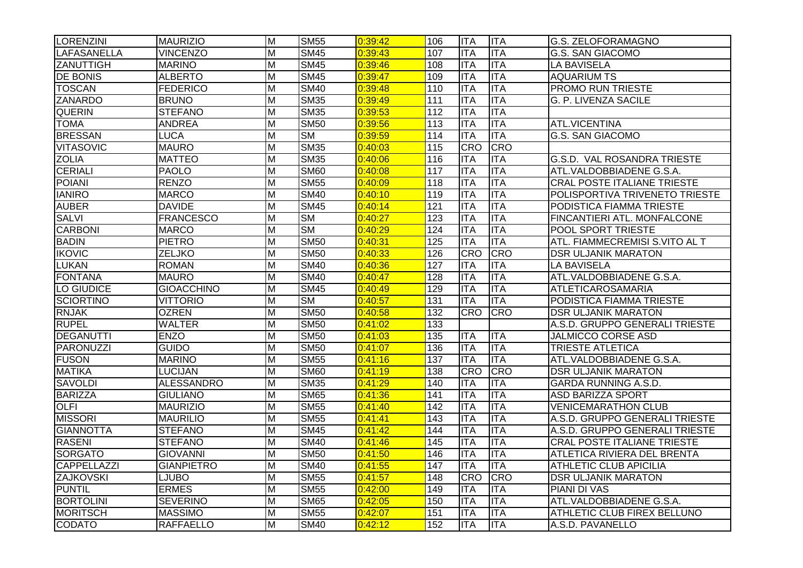| <b>LORENZINI</b>   | <b>MAURIZIO</b>   | M                       | <b>SM55</b>               | 0:39:42 | 106              | <b>ITA</b> | <b>ITA</b> | <b>G.S. ZELOFORAMAGNO</b>          |
|--------------------|-------------------|-------------------------|---------------------------|---------|------------------|------------|------------|------------------------------------|
| <b>LAFASANELLA</b> | <b>VINCENZO</b>   | $\overline{\mathsf{M}}$ | <b>SM45</b>               | 0:39:43 | 107              | <b>ITA</b> | <b>ITA</b> | <b>G.S. SAN GIACOMO</b>            |
| <b>ZANUTTIGH</b>   | <b>MARINO</b>     | M                       | <b>SM45</b>               | 0:39:46 | 108              | <b>ITA</b> | <b>ITA</b> | <b>LA BAVISELA</b>                 |
| <b>DE BONIS</b>    | <b>ALBERTO</b>    | M                       | <b>SM45</b>               | 0:39:47 | 109              | <b>ITA</b> | <b>ITA</b> | <b>AQUARIUM TS</b>                 |
| <b>TOSCAN</b>      | <b>FEDERICO</b>   | M                       | <b>SM40</b>               | 0:39:48 | 110              | <b>ITA</b> | <b>ITA</b> | <b>PROMO RUN TRIESTE</b>           |
| <b>ZANARDO</b>     | <b>BRUNO</b>      | M                       | <b>SM35</b>               | 0:39:49 | 111              | <b>ITA</b> | <b>ITA</b> | <b>G. P. LIVENZA SACILE</b>        |
| <b>QUERIN</b>      | <b>STEFANO</b>    | M                       | <b>SM35</b>               | 0:39:53 | $\overline{112}$ | <b>ITA</b> | <b>ITA</b> |                                    |
| <b>TOMA</b>        | ANDREA            | M                       | <b>SM50</b>               | 0:39:56 | 113              | <b>ITA</b> | <b>ITA</b> | ATL.VICENTINA                      |
| <b>BRESSAN</b>     | LUCA              | M                       | $\overline{\text{SM}}$    | 0:39:59 | 114              | <b>ITA</b> | <b>ITA</b> | <b>G.S. SAN GIACOMO</b>            |
| <b>VITASOVIC</b>   | <b>MAURO</b>      | M                       | <b>SM35</b>               | 0:40:03 | 115              | <b>CRO</b> | <b>CRO</b> |                                    |
| <b>ZOLIA</b>       | <b>MATTEO</b>     | M                       | <b>SM35</b>               | 0:40:06 | 116              | <b>ITA</b> | <b>ITA</b> | G.S.D. VAL ROSANDRA TRIESTE        |
| <b>CERIALI</b>     | <b>PAOLO</b>      | $\overline{\mathsf{M}}$ | <b>SM60</b>               | 0:40:08 | 117              | <b>ITA</b> | <b>ITA</b> | ATL.VALDOBBIADENE G.S.A.           |
| <b>POIANI</b>      | <b>RENZO</b>      | M                       | <b>SM55</b>               | 0:40:09 | 118              | <b>ITA</b> | <b>ITA</b> | <b>CRAL POSTE ITALIANE TRIESTE</b> |
| <b>IANIRO</b>      | <b>MARCO</b>      | $\overline{M}$          | <b>SM40</b>               | 0:40:10 | 119              | <b>ITA</b> | <b>ITA</b> | POLISPORTIVA TRIVENETO TRIESTE     |
| <b>AUBER</b>       | <b>DAVIDE</b>     | M                       | <b>SM45</b>               | 0:40:14 | $\overline{121}$ | <b>ITA</b> | <b>ITA</b> | PODISTICA FIAMMA TRIESTE           |
| <b>SALVI</b>       | <b>FRANCESCO</b>  | $\overline{\mathsf{M}}$ | <b>SM</b>                 | 0:40:27 | $\overline{123}$ | <b>ITA</b> | <b>ITA</b> | FINCANTIERI ATL. MONFALCONE        |
| <b>CARBONI</b>     | <b>MARCO</b>      | M                       | $\overline{\text{SM}}$    | 0:40:29 | 124              | <b>ITA</b> | <b>ITA</b> | POOL SPORT TRIESTE                 |
| <b>BADIN</b>       | <b>PIETRO</b>     | M                       | <b>SM50</b>               | 0:40:31 | 125              | <b>ITA</b> | <b>ITA</b> | ATL. FIAMMECREMISI S.VITO AL T     |
| <b>IKOVIC</b>      | <b>ZELJKO</b>     | $\overline{\mathsf{M}}$ | <b>SM50</b>               | 0:40:33 | 126              | <b>CRO</b> | <b>CRO</b> | <b>DSR ULJANIK MARATON</b>         |
| <b>LUKAN</b>       | <b>ROMAN</b>      | M                       | <b>SM40</b>               | 0:40:36 | 127              | <b>ITA</b> | <b>ITA</b> | <b>LA BAVISELA</b>                 |
| <b>FONTANA</b>     | <b>MAURO</b>      | $\overline{\mathsf{M}}$ | <b>SM40</b>               | 0:40:47 | 128              | <b>ITA</b> | <b>ITA</b> | ATL.VALDOBBIADENE G.S.A.           |
| LO GIUDICE         | <b>GIOACCHINO</b> | M                       | <b>SM45</b>               | 0:40:49 | 129              | <b>ITA</b> | <b>ITA</b> | <b>ATLETICAROSAMARIA</b>           |
| <b>SCIORTINO</b>   | <b>VITTORIO</b>   | M                       | $\overline{\text{SM}}$    | 0:40:57 | 131              | <b>ITA</b> | <b>ITA</b> | PODISTICA FIAMMA TRIESTE           |
| <b>RNJAK</b>       | <b>OZREN</b>      | M                       | <b>SM50</b>               | 0:40:58 | 132              | <b>CRO</b> | <b>CRO</b> | <b>DSR ULJANIK MARATON</b>         |
| <b>RUPEL</b>       | <b>WALTER</b>     | M                       | <b>SM50</b>               | 0:41:02 | 133              |            |            | A.S.D. GRUPPO GENERALI TRIESTE     |
| <b>DEGANUTTI</b>   | <b>ENZO</b>       | $\overline{\mathsf{M}}$ | <b>SM50</b>               | 0:41:03 | 135              | <b>ITA</b> | <b>ITA</b> | JALMICCO CORSE ASD                 |
| PARONUZZI          | <b>GUIDO</b>      | M                       | <b>SM50</b>               | 0:41:07 | 136              | <b>ITA</b> | <b>ITA</b> | <b>TRIESTE ATLETICA</b>            |
| <b>FUSON</b>       | <b>MARINO</b>     | M                       | <b>SM55</b>               | 0:41:16 | 137              | <b>ITA</b> | <b>ITA</b> | ATL.VALDOBBIADENE G.S.A.           |
| <b>MATIKA</b>      | <b>LUCIJAN</b>    | M                       | <b>SM60</b>               | 0:41:19 | 138              | <b>CRO</b> | <b>CRO</b> | <b>DSR ULJANIK MARATON</b>         |
| <b>SAVOLDI</b>     | <b>ALESSANDRO</b> | M                       | <b>SM35</b>               | 0:41:29 | 140              | <b>ITA</b> | <b>ITA</b> | GARDA RUNNING A.S.D.               |
| <b>BARIZZA</b>     | <b>GIULIANO</b>   | M                       | <b>SM65</b>               | 0:41:36 | 141              | <b>ITA</b> | <b>ITA</b> | <b>ASD BARIZZA SPORT</b>           |
| <b>OLFI</b>        | <b>MAURIZIO</b>   | M                       | <b>SM55</b>               | 0:41:40 | $\overline{142}$ | <b>ITA</b> | <b>ITA</b> | <b>VENICEMARATHON CLUB</b>         |
| <b>MISSORI</b>     | <b>MAURILIO</b>   | M                       | <b>SM55</b>               | 0:41:41 | 143              | <b>ITA</b> | <b>ITA</b> | A.S.D. GRUPPO GENERALI TRIESTE     |
| <b>GIANNOTTA</b>   | <b>STEFANO</b>    | M                       | <b>SM45</b>               | 0:41:42 | 144              | <b>ITA</b> | <b>ITA</b> | A.S.D. GRUPPO GENERALI TRIESTE     |
| <b>RASENI</b>      | <b>STEFANO</b>    | M                       | <b>SM40</b>               | 0:41:46 | 145              | <b>ITA</b> | <b>ITA</b> | <b>CRAL POSTE ITALIANE TRIESTE</b> |
| <b>SORGATO</b>     | <b>GIOVANNI</b>   | M                       | <b>SM50</b>               | 0:41:50 | 146              | <b>ITA</b> | <b>ITA</b> | ATLETICA RIVIERA DEL BRENTA        |
| <b>CAPPELLAZZI</b> | <b>GIANPIETRO</b> | M                       | <b>SM40</b>               | 0:41:55 | 147              | <b>ITA</b> | <b>ITA</b> | <b>ATHLETIC CLUB APICILIA</b>      |
| <b>ZAJKOVSKI</b>   | <b>LJUBO</b>      | M                       | <b>SM55</b>               | 0:41:57 | 148              | <b>CRO</b> | <b>CRO</b> | <b>DSR ULJANIK MARATON</b>         |
| <b>PUNTIL</b>      | <b>ERMES</b>      | M                       | <b>SM55</b>               | 0:42:00 | 149              | <b>ITA</b> | <b>ITA</b> | PIANI DI VAS                       |
| <b>BORTOLINI</b>   | <b>SEVERINO</b>   | M                       | <b>SM65</b>               | 0:42:05 | 150              | <b>ITA</b> | <b>ITA</b> | ATL.VALDOBBIADENE G.S.A.           |
| <b>MORITSCH</b>    | <b>MASSIMO</b>    | M                       | $\overline{\text{SM5}}$ 5 | 0:42:07 | 151              | <b>ITA</b> | <b>ITA</b> | ATHLETIC CLUB FIREX BELLUNO        |
| <b>CODATO</b>      | <b>RAFFAELLO</b>  | M                       | <b>SM40</b>               | 0:42:12 | 152              | <b>ITA</b> | <b>ITA</b> | A.S.D. PAVANELLO                   |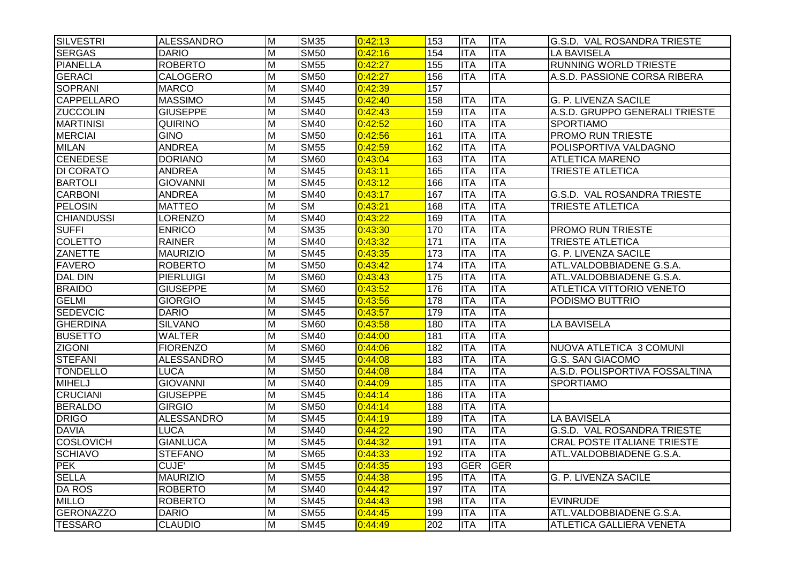| <b>SILVESTRI</b>  | <b>ALESSANDRO</b> | M                       | <b>SM35</b>              | 0:42:13 | 153              | <b>ITA</b> | <b>ITA</b> | G.S.D. VAL ROSANDRA TRIESTE        |
|-------------------|-------------------|-------------------------|--------------------------|---------|------------------|------------|------------|------------------------------------|
| <b>SERGAS</b>     | <b>DARIO</b>      | M                       | <b>SM50</b>              | 0:42:16 | 154              | <b>ITA</b> | <b>ITA</b> | <b>LA BAVISELA</b>                 |
| <b>PIANELLA</b>   | <b>ROBERTO</b>    | $\overline{M}$          | <b>SM55</b>              | 0:42:27 | 155              | <b>ITA</b> | <b>ITA</b> | <b>RUNNING WORLD TRIESTE</b>       |
| <b>GERACI</b>     | <b>CALOGERO</b>   | M                       | <b>SM50</b>              | 0:42:27 | 156              | IITA       | <b>ITA</b> | A.S.D. PASSIONE CORSA RIBERA       |
| <b>SOPRANI</b>    | <b>MARCO</b>      | M                       | <b>SM40</b>              | 0:42:39 | 157              |            |            |                                    |
| <b>CAPPELLARO</b> | <b>MASSIMO</b>    | M                       | <b>SM45</b>              | 0:42:40 | 158              | IITA       | <b>ITA</b> | <b>G. P. LIVENZA SACILE</b>        |
| <b>ZUCCOLIN</b>   | <b>GIUSEPPE</b>   | M                       | <b>SM40</b>              | 0:42:43 | 159              | <b>ITA</b> | <b>ITA</b> | A.S.D. GRUPPO GENERALI TRIESTE     |
| <b>MARTINISI</b>  | <b>QUIRINO</b>    | M                       | <b>SM40</b>              | 0:42:52 | 160              | <b>ITA</b> | <b>ITA</b> | <b>SPORTIAMO</b>                   |
| <b>MERCIAI</b>    | <b>GINO</b>       | $\overline{M}$          | <b>SM50</b>              | 0:42:56 | 161              | <b>ITA</b> | <b>ITA</b> | <b>PROMO RUN TRIESTE</b>           |
| <b>MILAN</b>      | <b>ANDREA</b>     | M                       | <b>SM55</b>              | 0:42:59 | 162              | <b>ITA</b> | <b>ITA</b> | POLISPORTIVA VALDAGNO              |
| <b>CENEDESE</b>   | <b>DORIANO</b>    | M                       | <b>SM60</b>              | 0:43:04 | 163              | <b>ITA</b> | <b>ITA</b> | <b>ATLETICA MARENO</b>             |
| <b>DI CORATO</b>  | <b>ANDREA</b>     | $\overline{M}$          | <b>SM45</b>              | 0:43:11 | 165              | <b>ITA</b> | <b>ITA</b> | <b>TRIESTE ATLETICA</b>            |
| <b>BARTOLI</b>    | <b>GIOVANNI</b>   | M                       | <b>SM45</b>              | 0:43:12 | 166              | <b>ITA</b> | <b>ITA</b> |                                    |
| <b>CARBONI</b>    | <b>ANDREA</b>     | $\overline{M}$          | <b>SM40</b>              | 0:43:17 | 167              | <b>ITA</b> | <b>ITA</b> | G.S.D. VAL ROSANDRA TRIESTE        |
| <b>PELOSIN</b>    | <b>MATTEO</b>     | $\overline{M}$          | <b>SM</b>                | 0:43:21 | 168              | <b>ITA</b> | <b>ITA</b> | <b>TRIESTE ATLETICA</b>            |
| <b>CHIANDUSSI</b> | <b>LORENZO</b>    | M                       | $\overline{\text{SM40}}$ | 0:43:22 | 169              | <b>ITA</b> | <b>ITA</b> |                                    |
| <b>SUFFI</b>      | <b>ENRICO</b>     | M                       | <b>SM35</b>              | 0:43:30 | 170              | <b>ITA</b> | <b>ITA</b> | PROMO RUN TRIESTE                  |
| <b>COLETTO</b>    | <b>RAINER</b>     | M                       | <b>SM40</b>              | 0:43:32 | $\overline{171}$ | <b>ITA</b> | <b>ITA</b> | TRIESTE ATLETICA                   |
| <b>ZANETTE</b>    | <b>MAURIZIO</b>   | M                       | <b>SM45</b>              | 0:43:35 | $\frac{1}{173}$  | <b>ITA</b> | <b>ITA</b> | <b>G. P. LIVENZA SACILE</b>        |
| <b>FAVERO</b>     | <b>ROBERTO</b>    | $\overline{M}$          | <b>SM50</b>              | 0:43:42 | 174              | <b>ITA</b> | <b>ITA</b> | ATL.VALDOBBIADENE G.S.A.           |
| <b>DAL DIN</b>    | <b>PIERLUIGI</b>  | $\overline{M}$          | <b>SM60</b>              | 0:43:43 | $\frac{1}{175}$  | <b>ITA</b> | <b>ITA</b> | ATL.VALDOBBIADENE G.S.A.           |
| <b>BRAIDO</b>     | <b>GIUSEPPE</b>   | $\overline{M}$          | <b>SM60</b>              | 0:43:52 | 176              | <b>ITA</b> | <b>ITA</b> | ATLETICA VITTORIO VENETO           |
| <b>GELMI</b>      | <b>GIORGIO</b>    | M                       | <b>SM45</b>              | 0:43:56 | 178              | <b>ITA</b> | <b>ITA</b> | PODISMO BUTTRIO                    |
| <b>SEDEVCIC</b>   | <b>DARIO</b>      | $\overline{M}$          | <b>SM45</b>              | 0:43:57 | 179              | <b>ITA</b> | <b>ITA</b> |                                    |
| <b>GHERDINA</b>   | <b>SILVANO</b>    | $\overline{M}$          | <b>SM60</b>              | 0:43:58 | 180              | <b>ITA</b> | <b>ITA</b> | <b>LA BAVISELA</b>                 |
| <b>BUSETTO</b>    | <b>WALTER</b>     | $\overline{M}$          | <b>SM40</b>              | 0:44:00 | 181              | <b>ITA</b> | <b>ITA</b> |                                    |
| <b>ZIGONI</b>     | <b>FIORENZO</b>   | $\overline{M}$          | <b>SM60</b>              | 0:44:06 | 182              | <b>ITA</b> | <b>ITA</b> | NUOVA ATLETICA 3 COMUNI            |
| <b>STEFANI</b>    | <b>ALESSANDRO</b> | $\overline{M}$          | <b>SM45</b>              | 0:44:08 | 183              | <b>ITA</b> | <b>ITA</b> | <b>G.S. SAN GIACOMO</b>            |
| <b>TONDELLO</b>   | <b>LUCA</b>       | $\overline{M}$          | <b>SM50</b>              | 0:44:08 | 184              | <b>ITA</b> | <b>ITA</b> | A.S.D. POLISPORTIVA FOSSALTINA     |
| <b>MIHELJ</b>     | <b>GIOVANNI</b>   | M                       | <b>SM40</b>              | 0:44:09 | 185              | <b>ITA</b> | <b>ITA</b> | <b>SPORTIAMO</b>                   |
| <b>CRUCIANI</b>   | <b>GIUSEPPE</b>   | $\overline{M}$          | <b>SM45</b>              | 0:44:14 | 186              | <b>ITA</b> | <b>ITA</b> |                                    |
| <b>BERALDO</b>    | <b>GIRGIO</b>     | M                       | <b>SM50</b>              | 0:44:14 | 188              | <b>ITA</b> | <b>ITA</b> |                                    |
| <b>DRIGO</b>      | <b>ALESSANDRO</b> | $\overline{\mathsf{M}}$ | <b>SM45</b>              | 0:44:19 | 189              | <b>ITA</b> | <b>ITA</b> | <b>LA BAVISELA</b>                 |
| <b>DAVIA</b>      | <b>LUCA</b>       | M                       | <b>SM40</b>              | 0:44:22 | 190              | <b>ITA</b> | <b>ITA</b> | G.S.D. VAL ROSANDRA TRIESTE        |
| <b>COSLOVICH</b>  | <b>GIANLUCA</b>   | M                       | <b>SM45</b>              | 0:44:32 | 191              | ITA        | <b>ITA</b> | <b>CRAL POSTE ITALIANE TRIESTE</b> |
| <b>SCHIAVO</b>    | <b>STEFANO</b>    | M                       | <b>SM65</b>              | 0:44:33 | 192              | <b>ITA</b> | <b>ITA</b> | ATL.VALDOBBIADENE G.S.A.           |
| <b>PEK</b>        | CUJE'             | M                       | <b>SM45</b>              | 0:44:35 | 193              | GER        | <b>GER</b> |                                    |
| <b>SELLA</b>      | <b>MAURIZIO</b>   | $\overline{M}$          | <b>SM55</b>              | 0:44:38 | 195              | <b>ITA</b> | <b>ITA</b> | <b>G. P. LIVENZA SACILE</b>        |
| <b>DA ROS</b>     | <b>ROBERTO</b>    | M                       | <b>SM40</b>              | 0:44:42 | 197              | <b>ITA</b> | <b>ITA</b> |                                    |
| <b>MILLO</b>      | <b>ROBERTO</b>    | $\overline{M}$          | <b>SM45</b>              | 0:44:43 | 198              | <b>ITA</b> | <b>ITA</b> | <b>EVINRUDE</b>                    |
| <b>GERONAZZO</b>  | <b>DARIO</b>      | M                       | <b>SM55</b>              | 0:44:45 | 199              | <b>ITA</b> | <b>ITA</b> | ATL.VALDOBBIADENE G.S.A.           |
| <b>TESSARO</b>    | <b>CLAUDIO</b>    | M                       | <b>SM45</b>              | 0:44:49 | 202              | <b>ITA</b> | <b>ITA</b> | ATLETICA GALLIERA VENETA           |